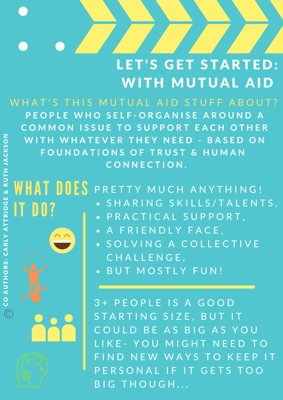#### LET'S GET STARTED: WITH MUTUAL AID

WHAT'S THIS MUTUAL AID STUFF ABOUT? PEOPLE WHO SELF-ORGANISE AROUND A COMMON ISSUE TO SUPPORT EACH OTHER **WITH WHATEVER THEY NEED - BASED ON F O U N D A T I O N S O F T R U S T & H U M A N C O N N E C T I O N .**

#### WHAT DOES PRETTY MUCH ANYTHING! IT DO? • SHARING SKILLS/TALENTS,

- PRACTICAL SUPPORT,
- A FRIENDLY FACE,
- SOLVING A COLLECTIVE C H A L L E N G E ,
- BUT MOSTLY FUN!

3+ PEOPLE IS A GOOD STARTING SIZE, BUT IT COULD BE AS BIG AS YOU LIKE - YOU MIGHT NEED IND NEW WAYS TO KEEP IT E R S O N A L I F I T G E T S T O O BIG THOUGH...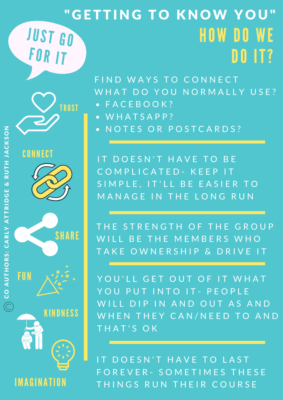#### HOW DO WE DO IT? " GETTING TO KNOW YOU" JUST GO FOR IT

FIND WAYS TO CONNECT WHAT DO YOU NORMALLY USE?

- F A C E B O O K ?  $\bullet$
- W H A T S A P P ?
- NOTES OR POSTCARDS?

IT DOESN'T HAVE TO BE COMPLICATED - KEEP IT SIMPLE, IT'LL BE EASIER TO MANAGE IN THE LONG RUN

THE STRENGTH OF THE GROUP WILL BE THE MEMBERS WHO TAKE OWNERSHIP & DRIVE IT

YOU'LL GET OUT OF IT WHAT YOU PUT INTO IT - PEOPLE WILL DIP IN AND OUT AS AND WHEN THEY CAN/NEED TO AND THAT'S OK

IT DOESN'T HAVE TO LAST F O R E V E R - S O M E T I M E S T H E S E THINGS RUN THEIR COURSE

**FUN** 



**CONNECT** 



**KINDNESS** 

IMAGINATION

SHARE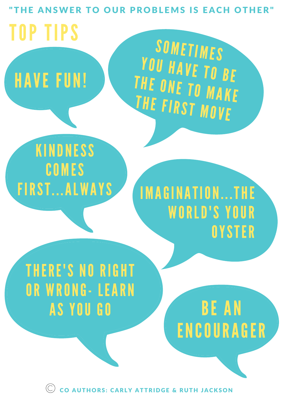ANSWER TO OUR PROBLEMS IS EACH TOP TIPS

HAVE FUN!

 $\blacktriangle$  in the unit  $\blacksquare$ THE ONE TO MAKE F A C E B O O K G R O U P ? W H A T S A P P ? THE FIRST WOVE SOMETIMES YOU HAVE TO BE

#### W E T H I N K 3 + P E O P E O P L E O P E O P E O P E O P E O P E O P E O P E O G O O D S T A R T I N G S I Z E , B U T I T KINDNESS COMES FIRST. . .ALWAYS

#### $V \cdot V$  in a substitution of  $V \cdot V$ YS IMAGINATION...THE WORLD'S YOUR P E R S O N A L I G E T S O B I G E T S O B I G E T S O B I G E T S O B I G E T O G E T H O U G H . **OYSTER**

### THERE'S NO RIGHT OR WRONG- LEARN AS YOU GO

BE AN ENCOURAGER

CO AUTHORS: CARLY ATTRIDGE & RUTH JACKSON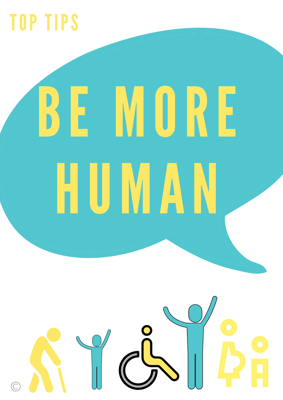### TOP TIPS

# BE MORE HUMAN

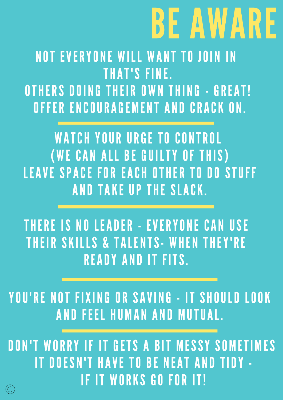# BE AWARE

NOT EVERYONE WILL WANT TO JOIN IN THAT'S FINE. OTHERS DOING THEIR OWN THING - GREAT! OFFER ENCOURAGEMENT AND CRACK ON.

WATCH YOUR URGE TO CONTROL WE CAN ALL BE GUILTY OF THIS LEAVE SPACE FOR EACH OTHER TO DO STUFF AND TAKE UP THE SLACK.

THERE IS NO LEADER - EVERYONE CAN USE THEIR SKILLS & TALENTS- WHEN THEY'RE READY AND IT FITS.

YOU'RE NOT FIXING OR SAVING - IT SHOULD LOOK AND FEEL HUMAN AND MUTUAL.

DON'T WORRY IF IT GETS A BIT MESSY SOMETIMES IT DOESN'T HAVE TO BE NEAT AND TIDY - IF IT WORKS GO FOR IT!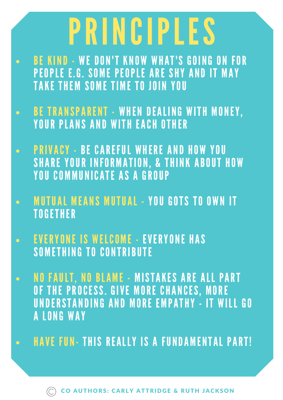### PRINCIPLES

- BE KIND WE DON'T KNOW WHAT'S GOING ON FOR  $\bullet$  . The set of  $\bullet$ PEOPLE E.G. SOME PEOPLE ARE SHY AND IT MAY TAKE THEM SOME TIME TO JOIN YOU
- BE TRANSPARENT WHEN DEALING WITH MONEY, YOUR PLANS AND WITH EACH OTHER
- PRIVACY BE CAREFUL WHERE AND HOW YOU SHARE YOUR INFORMATION, & THINK ABOUT HOW YOU COMMUNICATE AS A GROUP
- MUTUAL MEANS MUTUAL YOU GOTS TO OWN IT **TOGETHER**
- EVERYONE IS WELCOME EVERYONE HAS SOMETHING TO CONTRIBUTE
- NO FAULT, NO BLAME MISTAKES ARE ALL PART OF THE PROCESS. GIVE MORE CHANCES, MORE UNDERSTANDING AND MORE EMPATHY - IT WILL GO A LONG WAY
- HAVE FUN- THIS REALLY IS A FUNDAMENTAL PART!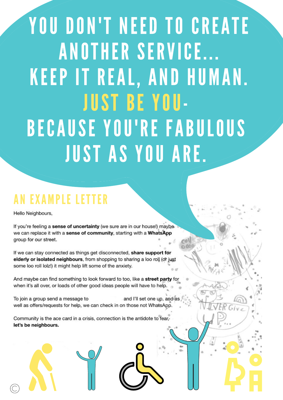YOU DON'T NEED TO CREATE ANOTHER SERVICE... KEEP IT REAL, AND HUMAN. JUST BE YOU-BECAUSE YOU'RE FABULOUS JUST AS YOU ARE.

#### AN EXAMPLE LETTER

Hello Neighbours,

If you're feeling a sense of uncertainty (we sure are in our house!) maybe we can replace it with a sense of community, starting with a WhatsApp group for our street.

If we can stay connected as things get disconnected, share support for elderly or isolated neighbours, from shopping to sharing a loo roll (or just some loo roll lolz!) it might help lift some of the anxiety.

And maybe can find something to look forward to too, like a street party for when it's all over, or loads of other good ideas people will have to help.

To join a group send a message to and I'll set one up, and as well as offers/requests for help, we can check in on those not WhatsApp.

Community is the ace card in a crisis, connection is the antidote to fear, let's be neighbours.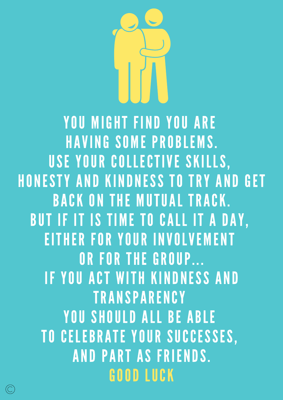

YOU MIGHT FIND YOU ARE HAVING SOME PROBLEMS. USE YOUR COLLECTIVE SKILLS, HONESTY AND KINDNESS TO TRY AND GET BACK ON THE MUTUAL TRACK. BUT IF IT IS TIME TO CALL IT A DAY, EITHER FOR YOUR INVOLVEMENT OR FOR THE GROUP... IF YOU ACT WITH KINDNESS AND **TRANSPARENCY** YOU SHOULD ALL BE ABLE TO CELEBRATE YOUR SUCCESSES, AND PART AS FRIENDS. GOOD LUCK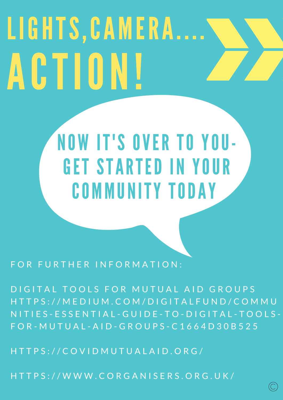# LIGHTS, CAMERA.... ACTION!

### NOW IT'S OVER TO YOU-GET STARTED IN YOUR COMMUNITY TODAY

FOR FURTHER INFORMATION:

DIGITAL TOOLS FOR MUTUAL AID GROUPS H T T P S : / / M E D I U M . C O M / D I G I T A L F U N D / C O M M U N I T I E S - E S S E N T I A L - G U I D E - T O - D I G I T A L - T O O L S - F O R - M U T U A L - A I D - G R O U P S - C 1 6 6 4 D 3 0 B 5 2 5

H T T P S : / / C O V I D M U T U A L A I D . O R G /

H T T P S : / / W W W . C O R G A N I S E R S . O R G . U K /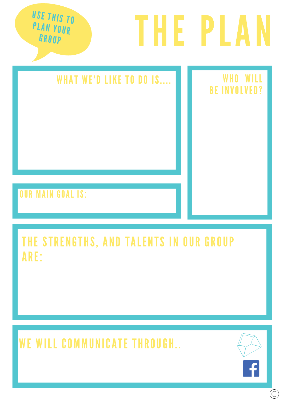

#### OUR MAIN GOAL IS:

#### THE STRENGTHS, AND TALENTS IN OUR GROUP ARE:

WE WILL COMMUNICATE THROUGH..



 $\mathbb{C}$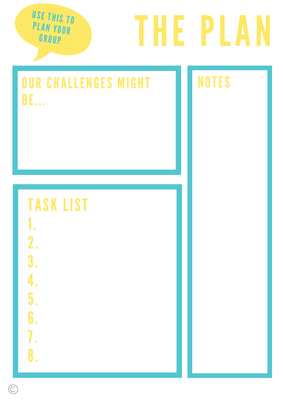USE THIS TO PLAN YOUR **GROUP** 

# THE PLAN

#### OUR CHALLENGES MIGHT BE. . .

#### NOTES

#### TASK LIST

- 1.
- 2. 3.
- 4.
- 5.
- 6.
- 7.
- 8.